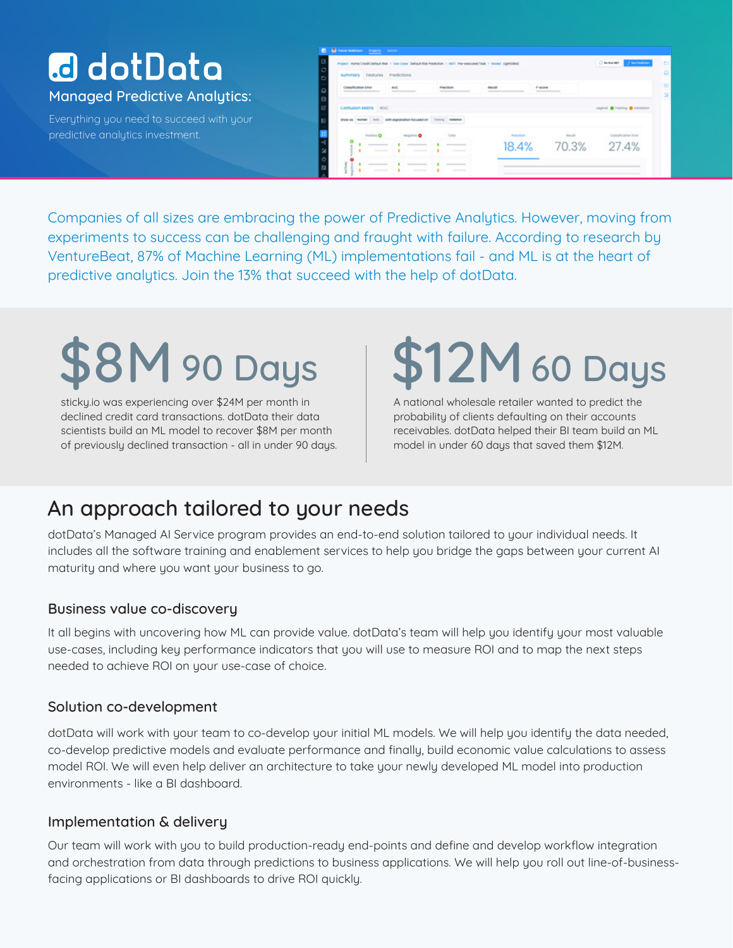# **a** dotData

Managed Predictive Analytics:

Everything you need to succeed with your predictive analytics investment.

| Project reame Credit Default Kisk > Use Cose Default Kisk Prediction > MOT, Pre-executed Task > Model, LightSBAD                                                                                                                                             |                                        |                                                                                                                                                                                                                                                                                                                                                                                                                                                                                                 |                            |                                               | Christian Structures              |
|--------------------------------------------------------------------------------------------------------------------------------------------------------------------------------------------------------------------------------------------------------------|----------------------------------------|-------------------------------------------------------------------------------------------------------------------------------------------------------------------------------------------------------------------------------------------------------------------------------------------------------------------------------------------------------------------------------------------------------------------------------------------------------------------------------------------------|----------------------------|-----------------------------------------------|-----------------------------------|
| Summary Features Predictions                                                                                                                                                                                                                                 |                                        |                                                                                                                                                                                                                                                                                                                                                                                                                                                                                                 |                            |                                               |                                   |
| Closalfication Enter<br><b>Professional Control of Control Control Control Control Control Control Control Control Control Control Control Control Control Control Control Control Control Control Control Control Control Control Control Control Contr</b> | <b>AVC</b><br><b>STATE OF THE ARTS</b> | <b>Practicion</b><br>$\frac{1}{2} \left( \frac{1}{2} \right) \left( \frac{1}{2} \right) \left( \frac{1}{2} \right) \left( \frac{1}{2} \right) \left( \frac{1}{2} \right) \left( \frac{1}{2} \right) \left( \frac{1}{2} \right) \left( \frac{1}{2} \right) \left( \frac{1}{2} \right) \left( \frac{1}{2} \right) \left( \frac{1}{2} \right) \left( \frac{1}{2} \right) \left( \frac{1}{2} \right) \left( \frac{1}{2} \right) \left( \frac{1}{2} \right) \left( \frac{1}{2} \right) \left( \frac$ | Record                     | $F-$ includes<br><b>SERVICE AND RESIDENCE</b> |                                   |
| Confusion Motrix ROC                                                                                                                                                                                                                                         |                                        |                                                                                                                                                                                                                                                                                                                                                                                                                                                                                                 |                            |                                               | Legend, @ Training @ Institution. |
| Show as Themer 1979. In the exponenties focused on. Thereony Themeses                                                                                                                                                                                        |                                        |                                                                                                                                                                                                                                                                                                                                                                                                                                                                                                 |                            |                                               |                                   |
| Positive O                                                                                                                                                                                                                                                   | <b>Negative O</b>                      | Turkey                                                                                                                                                                                                                                                                                                                                                                                                                                                                                          | <b>Projection</b><br>18.4% | kecoli<br>70.3%                               | Comfleston (mp)<br>27.4%          |
|                                                                                                                                                                                                                                                              | the property of the company of         | <b>The Second Contract of the Contract of the Contract of the Contract of the Contract of the Contract of the Contract of The Contract of The Contract of The Contract of The Contract of The Contract of The Contract of The Co</b>                                                                                                                                                                                                                                                            |                            |                                               |                                   |

Companies of all sizes are embracing the power of Predictive Analytics. However, moving from experiments to success can be challenging and fraught with failure. According to research by VentureBeat, 87% of Machine Learning (ML) implementations fail - and ML is at the heart of predictive analytics. Join the 13% that succeed with the help of dotData.

# $3M$  90 Days

sticky.io was experiencing over \$24M per month in declined credit card transactions. dotData their data scientists build an ML model to recover \$8M per month of previously declined transaction - all in under 90 days.

# 12M 60 Days

A national wholesale retailer wanted to predict the probability of clients defaulting on their accounts receivables. dotData helped their BI team build an ML model in under 60 days that saved them \$12M.

# An approach tailored to your needs

dotData's Managed AI Service program provides an end-to-end solution tailored to your individual needs. It includes all the software training and enablement services to help you bridge the gaps between your current AI maturity and where you want your business to go.

## Business value co-discovery

It all begins with uncovering how ML can provide value. dotData's team will help you identify your most valuable use-cases, including key performance indicators that you will use to measure ROI and to map the next steps needed to achieve ROI on your use-case of choice.

## Solution co-development

dotData will work with your team to co-develop your initial ML models. We will help you identify the data needed, co-develop predictive models and evaluate performance and finally, build economic value calculations to assess model ROI. We will even help deliver an architecture to take your newly developed ML model into production environments - like a BI dashboard.

## Implementation & delivery

Our team will work with you to build production-ready end-points and define and develop workflow integration and orchestration from data through predictions to business applications. We will help you roll out line-of-businessfacing applications or BI dashboards to drive ROI quickly.